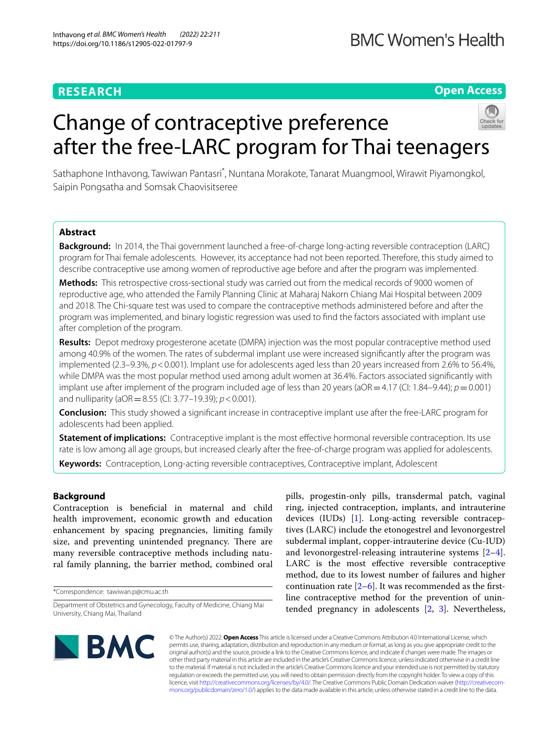# **RESEARCH**

## **Open Access**

# Change of contraceptive preference after the free-LARC program for Thai teenagers



Sathaphone Inthavong, Tawiwan Pantasri\* , Nuntana Morakote, Tanarat Muangmool, Wirawit Piyamongkol, Saipin Pongsatha and Somsak Chaovisitseree

## **Abstract**

**Background:** In 2014, the Thai government launched a free-of-charge long-acting reversible contraception (LARC) program for Thai female adolescents. However, its acceptance had not been reported. Therefore, this study aimed to describe contraceptive use among women of reproductive age before and after the program was implemented.

**Methods:** This retrospective cross-sectional study was carried out from the medical records of 9000 women of reproductive age, who attended the Family Planning Clinic at Maharaj Nakorn Chiang Mai Hospital between 2009 and 2018. The Chi-square test was used to compare the contraceptive methods administered before and after the program was implemented, and binary logistic regression was used to fnd the factors associated with implant use after completion of the program.

**Results:** Depot medroxy progesterone acetate (DMPA) injection was the most popular contraceptive method used among 40.9% of the women. The rates of subdermal implant use were increased signifcantly after the program was implemented (2.3–9.3%,  $p < 0.001$ ). Implant use for adolescents aged less than 20 years increased from 2.6% to 56.4%, while DMPA was the most popular method used among adult women at 36.4%. Factors associated signifcantly with implant use after implement of the program included age of less than 20 years ( $aOR = 4.17$  (CI: 1.84–9.44);  $p = 0.001$ ) and nulliparity (aOR=8.55 (CI: 3.77–19.39); *p*<0.001).

**Conclusion:** This study showed a signifcant increase in contraceptive implant use after the free-LARC program for adolescents had been applied.

**Statement of implications:** Contraceptive implant is the most efective hormonal reversible contraception. Its use rate is low among all age groups, but increased clearly after the free-of-charge program was applied for adolescents.

**Keywords:** Contraception, Long-acting reversible contraceptives, Contraceptive implant, Adolescent

## **Background**

Contraception is beneficial in maternal and child health improvement, economic growth and education enhancement by spacing pregnancies, limiting family size, and preventing unintended pregnancy. There are many reversible contraceptive methods including natural family planning, the barrier method, combined oral

\*Correspondence: tawiwan.p@cmu.ac.th

pills, progestin-only pills, transdermal patch, vaginal ring, injected contraception, implants, and intrauterine devices (IUDs) [\[1](#page-5-0)]. Long-acting reversible contraceptives (LARC) include the etonogestrel and levonorgestrel subdermal implant, copper-intrauterine device (Cu-IUD) and levonorgestrel-releasing intrauterine systems [\[2](#page-5-1)[–4](#page-5-2)]. LARC is the most efective reversible contraceptive method, due to its lowest number of failures and higher continuation rate  $[2-6]$  $[2-6]$ . It was recommended as the firstline contraceptive method for the prevention of unintended pregnancy in adolescents [\[2](#page-5-1), [3\]](#page-5-4). Nevertheless,



© The Author(s) 2022. **Open Access** This article is licensed under a Creative Commons Attribution 4.0 International License, which permits use, sharing, adaptation, distribution and reproduction in any medium or format, as long as you give appropriate credit to the original author(s) and the source, provide a link to the Creative Commons licence, and indicate if changes were made. The images or other third party material in this article are included in the article's Creative Commons licence, unless indicated otherwise in a credit line to the material. If material is not included in the article's Creative Commons licence and your intended use is not permitted by statutory regulation or exceeds the permitted use, you will need to obtain permission directly from the copyright holder. To view a copy of this licence, visit [http://creativecommons.org/licenses/by/4.0/.](http://creativecommons.org/licenses/by/4.0/) The Creative Commons Public Domain Dedication waiver ([http://creativecom](http://creativecommons.org/publicdomain/zero/1.0/)[mons.org/publicdomain/zero/1.0/\)](http://creativecommons.org/publicdomain/zero/1.0/) applies to the data made available in this article, unless otherwise stated in a credit line to the data.

Department of Obstetrics and Gynecology, Faculty of Medicine, Chiang Mai University, Chiang Mai, Thailand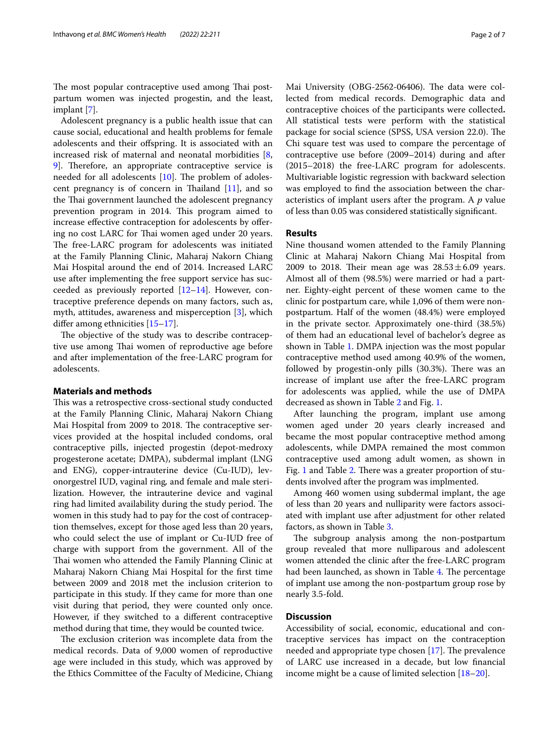The most popular contraceptive used among Thai postpartum women was injected progestin, and the least, implant [[7\]](#page-5-5).

Adolescent pregnancy is a public health issue that can cause social, educational and health problems for female adolescents and their ofspring. It is associated with an increased risk of maternal and neonatal morbidities [\[8](#page-5-6), [9\]](#page-5-7). Therefore, an appropriate contraceptive service is needed for all adolescents  $[10]$ . The problem of adolescent pregnancy is of concern in Thailand  $[11]$  $[11]$ , and so the Thai government launched the adolescent pregnancy prevention program in 2014. This program aimed to increase efective contraception for adolescents by ofering no cost LARC for Thai women aged under 20 years. The free-LARC program for adolescents was initiated at the Family Planning Clinic, Maharaj Nakorn Chiang Mai Hospital around the end of 2014. Increased LARC use after implementing the free support service has succeeded as previously reported  $[12-14]$  $[12-14]$ . However, contraceptive preference depends on many factors, such as, myth, attitudes, awareness and misperception [\[3](#page-5-4)], which difer among ethnicities [\[15–](#page-6-0)[17\]](#page-6-1).

The objective of the study was to describe contraceptive use among Thai women of reproductive age before and after implementation of the free-LARC program for adolescents.

## **Materials and methods**

This was a retrospective cross-sectional study conducted at the Family Planning Clinic, Maharaj Nakorn Chiang Mai Hospital from 2009 to 2018. The contraceptive services provided at the hospital included condoms, oral contraceptive pills, injected progestin (depot-medroxy progesterone acetate; DMPA), subdermal implant (LNG and ENG), copper-intrauterine device (Cu-IUD), levonorgestrel IUD, vaginal ring*,* and female and male sterilization. However, the intrauterine device and vaginal ring had limited availability during the study period. The women in this study had to pay for the cost of contraception themselves, except for those aged less than 20 years, who could select the use of implant or Cu-IUD free of charge with support from the government. All of the Thai women who attended the Family Planning Clinic at Maharaj Nakorn Chiang Mai Hospital for the frst time between 2009 and 2018 met the inclusion criterion to participate in this study. If they came for more than one visit during that period, they were counted only once. However, if they switched to a diferent contraceptive method during that time, they would be counted twice.

The exclusion criterion was incomplete data from the medical records. Data of 9,000 women of reproductive age were included in this study, which was approved by the Ethics Committee of the Faculty of Medicine, Chiang Mai University (OBG-2562-06406). The data were collected from medical records. Demographic data and contraceptive choices of the participants were collected**.** All statistical tests were perform with the statistical package for social science (SPSS, USA version 22.0). The Chi square test was used to compare the percentage of contraceptive use before (2009–2014) during and after (2015–2018) the free-LARC program for adolescents. Multivariable logistic regression with backward selection was employed to fnd the association between the characteristics of implant users after the program. A *p* value of less than 0.05 was considered statistically signifcant.

## **Results**

Nine thousand women attended to the Family Planning Clinic at Maharaj Nakorn Chiang Mai Hospital from 2009 to 2018. Their mean age was  $28.53 \pm 6.09$  years. Almost all of them (98.5%) were married or had a partner. Eighty-eight percent of these women came to the clinic for postpartum care, while 1,096 of them were nonpostpartum. Half of the women (48.4%) were employed in the private sector. Approximately one-third (38.5%) of them had an educational level of bachelor's degree as shown in Table [1.](#page-2-0) DMPA injection was the most popular contraceptive method used among 40.9% of the women, followed by progestin-only pills (30.3%). There was an increase of implant use after the free-LARC program for adolescents was applied, while the use of DMPA decreased as shown in Table [2](#page-3-0) and Fig. [1](#page-2-1).

After launching the program, implant use among women aged under 20 years clearly increased and became the most popular contraceptive method among adolescents, while DMPA remained the most common contraceptive used among adult women, as shown in Fig. [1](#page-2-1) and Table [2](#page-3-0). There was a greater proportion of students involved after the program was implmented.

Among 460 women using subdermal implant, the age of less than 20 years and nulliparity were factors associated with implant use after adjustment for other related factors, as shown in Table [3.](#page-3-1)

The subgroup analysis among the non-postpartum group revealed that more nulliparous and adolescent women attended the clinic after the free-LARC program had been launched, as shown in Table [4](#page-4-0). The percentage of implant use among the non-postpartum group rose by nearly 3.5-fold.

## **Discussion**

Accessibility of social, economic, educational and contraceptive services has impact on the contraception needed and appropriate type chosen  $[17]$ . The prevalence of LARC use increased in a decade, but low fnancial income might be a cause of limited selection [\[18–](#page-6-2)[20\]](#page-6-3).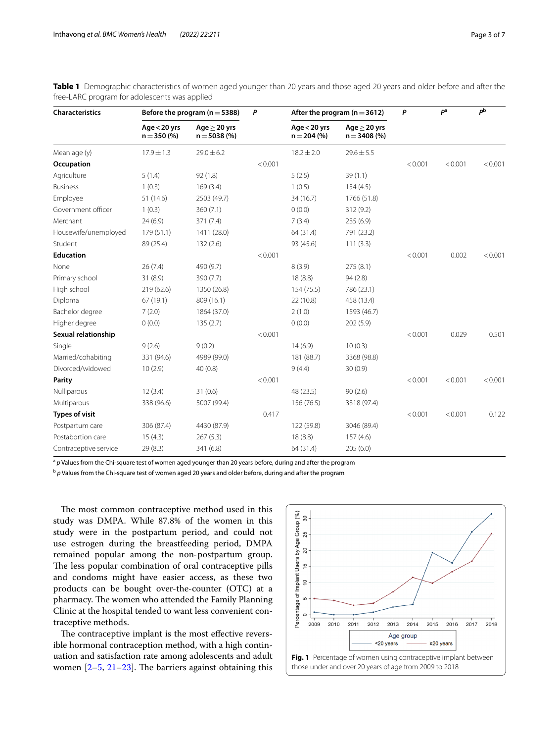| <b>Characteristics</b> | Before the program ( $n = 5388$ ) |                                 | P       | After the program ( $n = 3612$ ) |                                  | P       | P <sup>a</sup> | P <sup>b</sup> |
|------------------------|-----------------------------------|---------------------------------|---------|----------------------------------|----------------------------------|---------|----------------|----------------|
|                        | Age $<$ 20 yrs<br>$n = 350 (%)$   | Age $>$ 20 yrs<br>$n = 5038(%)$ |         | Age $<$ 20 yrs<br>$n = 204$ (%)  | $Age > 20$ yrs<br>$n = 3408 (%)$ |         |                |                |
| Mean age (y)           | $17.9 \pm 1.3$                    | $29.0 \pm 6.2$                  |         | $18.2 \pm 2.0$                   | $29.6 \pm 5.5$                   |         |                |                |
| Occupation             |                                   |                                 | < 0.001 |                                  |                                  | < 0.001 | < 0.001        | < 0.001        |
| Agriculture            | 5(1.4)                            | 92(1.8)                         |         | 5(2.5)                           | 39(1.1)                          |         |                |                |
| <b>Business</b>        | 1(0.3)                            | 169(3.4)                        |         | 1(0.5)                           | 154(4.5)                         |         |                |                |
| Employee               | 51(14.6)                          | 2503 (49.7)                     |         | 34 (16.7)                        | 1766 (51.8)                      |         |                |                |
| Government officer     | 1(0.3)                            | 360(7.1)                        |         | 0(0.0)                           | 312 (9.2)                        |         |                |                |
| Merchant               | 24(6.9)                           | 371 (7.4)                       |         | 7(3.4)                           | 235(6.9)                         |         |                |                |
| Housewife/unemployed   | 179 (51.1)                        | 1411 (28.0)                     |         | 64 (31.4)                        | 791 (23.2)                       |         |                |                |
| Student                | 89 (25.4)                         | 132(2.6)                        |         | 93 (45.6)                        | 111(3.3)                         |         |                |                |
| <b>Education</b>       |                                   |                                 | < 0.001 |                                  |                                  | < 0.001 | 0.002          | < 0.001        |
| None                   | 26(7.4)                           | 490 (9.7)                       |         | 8(3.9)                           | 275(8.1)                         |         |                |                |
| Primary school         | 31(8.9)                           | 390 (7.7)                       |         | 18 (8.8)                         | 94(2.8)                          |         |                |                |
| High school            | 219 (62.6)                        | 1350 (26.8)                     |         | 154 (75.5)                       | 786 (23.1)                       |         |                |                |
| Diploma                | 67(19.1)                          | 809 (16.1)                      |         | 22 (10.8)                        | 458 (13.4)                       |         |                |                |
| Bachelor degree        | 7(2.0)                            | 1864 (37.0)                     |         | 2(1.0)                           | 1593 (46.7)                      |         |                |                |
| Higher degree          | 0(0.0)                            | 135(2.7)                        |         | 0(0.0)                           | 202 (5.9)                        |         |                |                |
| Sexual relationship    |                                   |                                 | < 0.001 |                                  |                                  | < 0.001 | 0.029          | 0.501          |
| Single                 | 9(2.6)                            | 9(0.2)                          |         | 14(6.9)                          | 10(0.3)                          |         |                |                |
| Married/cohabiting     | 331 (94.6)                        | 4989 (99.0)                     |         | 181 (88.7)                       | 3368 (98.8)                      |         |                |                |
| Divorced/widowed       | 10(2.9)                           | 40(0.8)                         |         | 9(4.4)                           | 30(0.9)                          |         |                |                |
| Parity                 |                                   |                                 | < 0.001 |                                  |                                  | < 0.001 | < 0.001        | < 0.001        |
| Nulliparous            | 12(3.4)                           | 31(0.6)                         |         | 48 (23.5)                        | 90(2.6)                          |         |                |                |
| Multiparous            | 338 (96.6)                        | 5007 (99.4)                     |         | 156 (76.5)                       | 3318 (97.4)                      |         |                |                |
| <b>Types of visit</b>  |                                   |                                 | 0.417   |                                  |                                  | < 0.001 | < 0.001        | 0.122          |
| Postpartum care        | 306 (87.4)                        | 4430 (87.9)                     |         | 122 (59.8)                       | 3046 (89.4)                      |         |                |                |
| Postabortion care      | 15(4.3)                           | 267(5.3)                        |         | 18(8.8)                          | 157(4.6)                         |         |                |                |
| Contraceptive service  | 29(8.3)                           | 341 (6.8)                       |         | 64 (31.4)                        | 205(6.0)                         |         |                |                |

<span id="page-2-0"></span>**Table 1** Demographic characteristics of women aged younger than 20 years and those aged 20 years and older before and after the free-LARC program for adolescents was applied

<sup>a</sup> p Values from the Chi-square test of women aged younger than 20 years before, during and after the program

<sup>b</sup> *p* Values from the Chi-square test of women aged 20 years and older before, during and after the program

The most common contraceptive method used in this study was DMPA. While 87.8% of the women in this study were in the postpartum period, and could not use estrogen during the breastfeeding period, DMPA remained popular among the non-postpartum group. The less popular combination of oral contraceptive pills and condoms might have easier access, as these two products can be bought over-the-counter (OTC) at a pharmacy. The women who attended the Family Planning Clinic at the hospital tended to want less convenient contraceptive methods.

The contraceptive implant is the most effective reversible hormonal contraception method, with a high continuation and satisfaction rate among adolescents and adult women  $[2-5, 21-23]$  $[2-5, 21-23]$  $[2-5, 21-23]$  $[2-5, 21-23]$  $[2-5, 21-23]$  $[2-5, 21-23]$  $[2-5, 21-23]$ . The barriers against obtaining this

<span id="page-2-1"></span>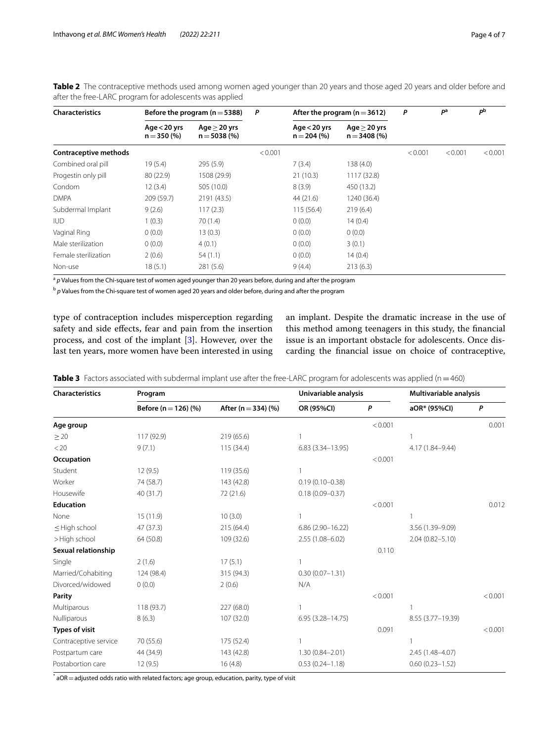| <b>Characteristics</b>       | Before the program ( $n = 5388$ ) |                                    | P       | After the program ( $n = 3612$ ) |                                     | P       | P <sup>a</sup> | рb      |
|------------------------------|-----------------------------------|------------------------------------|---------|----------------------------------|-------------------------------------|---------|----------------|---------|
|                              | Age $<$ 20 yrs<br>$n = 350 (%)$   | Age $\geq$ 20 yrs<br>$n = 5038(%)$ |         | Age $<$ 20 yrs<br>$n = 204$ (%)  | Age $\geq$ 20 yrs<br>$n = 3408$ (%) |         |                |         |
| <b>Contraceptive methods</b> |                                   |                                    | < 0.001 |                                  |                                     | < 0.001 | < 0.001        | < 0.001 |
| Combined oral pill           | 19(5.4)                           | 295(5.9)                           |         | 7(3.4)                           | 138 (4.0)                           |         |                |         |
| Progestin only pill          | 80 (22.9)                         | 1508 (29.9)                        |         | 21(10.3)                         | 1117 (32.8)                         |         |                |         |
| Condom                       | 12(3.4)                           | 505 (10.0)                         |         | 8(3.9)                           | 450 (13.2)                          |         |                |         |
| <b>DMPA</b>                  | 209 (59.7)                        | 2191 (43.5)                        |         | 44 (21.6)                        | 1240 (36.4)                         |         |                |         |
| Subdermal Implant            | 9(2.6)                            | 117(2.3)                           |         | 115 (56.4)                       | 219(6.4)                            |         |                |         |
| <b>IUD</b>                   | 1(0.3)                            | 70(1.4)                            |         | 0(0.0)                           | 14(0.4)                             |         |                |         |
| Vaginal Ring                 | 0(0.0)                            | 13(0.3)                            |         | 0(0.0)                           | 0(0.0)                              |         |                |         |
| Male sterilization           | 0(0.0)                            | 4(0.1)                             |         | 0(0.0)                           | 3(0.1)                              |         |                |         |
| Female sterilization         | 2(0.6)                            | 54(1.1)                            |         | 0(0.0)                           | 14(0.4)                             |         |                |         |
| Non-use                      | 18(5.1)                           | 281(5.6)                           |         | 9(4.4)                           | 213(6.3)                            |         |                |         |

<span id="page-3-0"></span>**Table 2** The contraceptive methods used among women aged younger than 20 years and those aged 20 years and older before and after the free-LARC program for adolescents was applied

<sup>a</sup> p Values from the Chi-square test of women aged younger than 20 years before, during and after the program

<sup>b</sup> p Values from the Chi-square test of women aged 20 years and older before, during and after the program

type of contraception includes misperception regarding safety and side efects, fear and pain from the insertion process, and cost of the implant [[3\]](#page-5-4). However, over the last ten years, more women have been interested in using an implant. Despite the dramatic increase in the use of this method among teenagers in this study, the fnancial issue is an important obstacle for adolescents. Once discarding the fnancial issue on choice of contraceptive,

<span id="page-3-1"></span>**Table 3** Factors associated with subdermal implant use after the free-LARC program for adolescents was applied (n=460)

| <b>Characteristics</b> | Program                  | Univariable analysis    |                      | Multivariable analysis |                     |         |
|------------------------|--------------------------|-------------------------|----------------------|------------------------|---------------------|---------|
|                        | Before ( $n = 126$ ) (%) | After ( $n = 334$ ) (%) | OR (95%CI)           | P                      | aOR* (95%Cl)        | P       |
| Age group              |                          |                         |                      | < 0.001                |                     | 0.001   |
| $\geq 20$              | 117 (92.9)               | 219(65.6)               |                      |                        |                     |         |
| < 20                   | 9(7.1)                   | 115 (34.4)              | $6.83(3.34 - 13.95)$ |                        | 4.17 (1.84-9.44)    |         |
| Occupation             |                          |                         |                      | < 0.001                |                     |         |
| Student                | 12(9.5)                  | 119 (35.6)              | 1                    |                        |                     |         |
| Worker                 | 74 (58.7)                | 143 (42.8)              | $0.19(0.10 - 0.38)$  |                        |                     |         |
| Housewife              | 40 (31.7)                | 72 (21.6)               | $0.18(0.09 - 0.37)$  |                        |                     |         |
| <b>Education</b>       |                          |                         |                      | < 0.001                |                     | 0.012   |
| None                   | 15(11.9)                 | 10(3.0)                 | 1                    |                        |                     |         |
| $\leq$ High school     | 47 (37.3)                | 215 (64.4)              | $6.86(2.90-16.22)$   |                        | 3.56 (1.39-9.09)    |         |
| >High school           | 64 (50.8)                | 109 (32.6)              | 2.55 (1.08-6.02)     |                        | $2.04(0.82 - 5.10)$ |         |
| Sexual relationship    |                          |                         |                      | 0.110                  |                     |         |
| Single                 | 2(1.6)                   | 17(5.1)                 |                      |                        |                     |         |
| Married/Cohabiting     | 124 (98.4)               | 315 (94.3)              | $0.30(0.07 - 1.31)$  |                        |                     |         |
| Divorced/widowed       | 0(0.0)                   | 2(0.6)                  | N/A                  |                        |                     |         |
| Parity                 |                          |                         |                      | < 0.001                |                     | < 0.001 |
| Multiparous            | 118(93.7)                | 227 (68.0)              | 1                    |                        | 1                   |         |
| Nulliparous            | 8(6.3)                   | 107 (32.0)              | $6.95(3.28 - 14.75)$ |                        | 8.55 (3.77-19.39)   |         |
| <b>Types of visit</b>  |                          |                         |                      | 0.091                  |                     | < 0.001 |
| Contraceptive service  | 70 (55.6)                | 175 (52.4)              |                      |                        |                     |         |
| Postpartum care        | 44 (34.9)                | 143 (42.8)              | $1.30(0.84 - 2.01)$  |                        | 2.45 (1.48-4.07)    |         |
| Postabortion care      | 12(9.5)                  | 16(4.8)                 | $0.53(0.24 - 1.18)$  |                        | $0.60(0.23 - 1.52)$ |         |

 $^*$  aOR  $=$  adjusted odds ratio with related factors; age group, education, parity, type of visit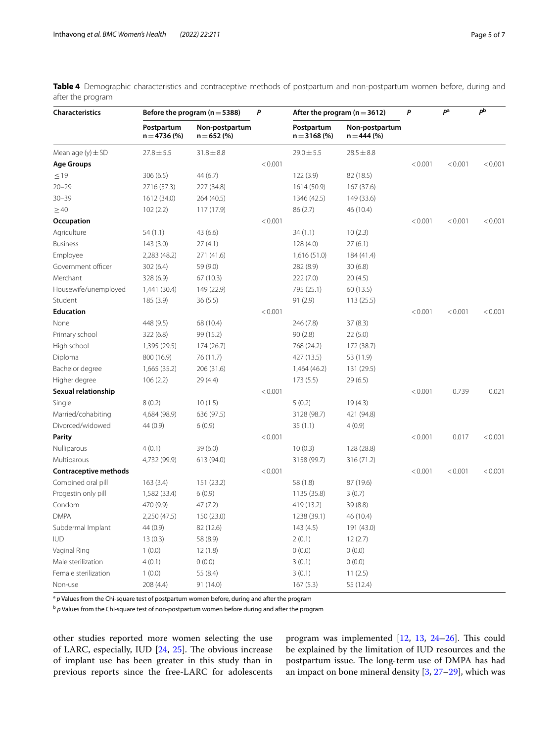| <b>Characteristics</b> | Before the program ( $n = 5388$ ) |                                | P       | After the program ( $n = 3612$ ) |                                 | P       | pa      | рb      |
|------------------------|-----------------------------------|--------------------------------|---------|----------------------------------|---------------------------------|---------|---------|---------|
|                        | Postpartum<br>$n = 4736 (%)$      | Non-postpartum<br>$n = 652(%)$ |         | Postpartum<br>$n = 3168$ (%)     | Non-postpartum<br>$n = 444$ (%) |         |         |         |
| Mean age $(y) \pm SD$  | $27.8 \pm 5.5$                    | $31.8 \pm 8.8$                 |         | $29.0 \pm 5.5$                   | $28.5 \pm 8.8$                  |         |         |         |
| <b>Age Groups</b>      |                                   |                                | < 0.001 |                                  |                                 | < 0.001 | < 0.001 | < 0.001 |
| $\leq$ 19              | 306(6.5)                          | 44 (6.7)                       |         | 122(3.9)                         | 82 (18.5)                       |         |         |         |
| $20 - 29$              | 2716 (57.3)                       | 227 (34.8)                     |         | 1614 (50.9)                      | 167 (37.6)                      |         |         |         |
| $30 - 39$              | 1612 (34.0)                       | 264 (40.5)                     |         | 1346 (42.5)                      | 149 (33.6)                      |         |         |         |
| $\geq 40$              | 102(2.2)                          | 117 (17.9)                     |         | 86(2.7)                          | 46 (10.4)                       |         |         |         |
| Occupation             |                                   |                                | < 0.001 |                                  |                                 | < 0.001 | < 0.001 | < 0.001 |
| Agriculture            | 54(1.1)                           | 43 (6.6)                       |         | 34(1.1)                          | 10(2.3)                         |         |         |         |
| <b>Business</b>        | 143 (3.0)                         | 27(4.1)                        |         | 128 (4.0)                        | 27(6.1)                         |         |         |         |
| Employee               | 2,283 (48.2)                      | 271 (41.6)                     |         | 1,616(51.0)                      | 184 (41.4)                      |         |         |         |
| Government officer     | 302(6.4)                          | 59 (9.0)                       |         | 282 (8.9)                        | 30(6.8)                         |         |         |         |
| Merchant               | 328 (6.9)                         | 67(10.3)                       |         | 222(7.0)                         | 20 (4.5)                        |         |         |         |
| Housewife/unemployed   | 1,441 (30.4)                      | 149 (22.9)                     |         | 795 (25.1)                       | 60 (13.5)                       |         |         |         |
| Student                | 185(3.9)                          | 36(5.5)                        |         | 91(2.9)                          | 113(25.5)                       |         |         |         |
| <b>Education</b>       |                                   |                                | < 0.001 |                                  |                                 | < 0.001 | < 0.001 | < 0.001 |
| None                   | 448 (9.5)                         | 68 (10.4)                      |         | 246 (7.8)                        | 37 (8.3)                        |         |         |         |
| Primary school         | 322 (6.8)                         | 99 (15.2)                      |         | 90(2.8)                          | 22(5.0)                         |         |         |         |
| High school            | 1,395 (29.5)                      | 174 (26.7)                     |         | 768 (24.2)                       | 172 (38.7)                      |         |         |         |
| Diploma                | 800 (16.9)                        | 76 (11.7)                      |         | 427 (13.5)                       | 53 (11.9)                       |         |         |         |
| Bachelor degree        | 1,665 (35.2)                      | 206 (31.6)                     |         | 1,464 (46.2)                     | 131 (29.5)                      |         |         |         |
| Higher degree          | 106(2.2)                          | 29 (4.4)                       |         | 173(5.5)                         | 29 (6.5)                        |         |         |         |
| Sexual relationship    |                                   |                                | < 0.001 |                                  |                                 | < 0.001 | 0.739   | 0.021   |
| Single                 | 8(0.2)                            | 10(1.5)                        |         | 5(0.2)                           | 19(4.3)                         |         |         |         |
| Married/cohabiting     | 4,684 (98.9)                      | 636 (97.5)                     |         | 3128 (98.7)                      | 421 (94.8)                      |         |         |         |
| Divorced/widowed       | 44 (0.9)                          | 6(0.9)                         |         | 35(1.1)                          | 4(0.9)                          |         |         |         |
| Parity                 |                                   |                                | < 0.001 |                                  |                                 | < 0.001 | 0.017   | < 0.001 |
| Nulliparous            | 4(0.1)                            | 39(6.0)                        |         | 10(0.3)                          | 128 (28.8)                      |         |         |         |
| Multiparous            | 4,732 (99.9)                      | 613 (94.0)                     |         | 3158 (99.7)                      | 316 (71.2)                      |         |         |         |
| Contraceptive methods  |                                   |                                | < 0.001 |                                  |                                 | < 0.001 | < 0.001 | < 0.001 |
| Combined oral pill     | 163(3.4)                          | 151 (23.2)                     |         | 58 (1.8)                         | 87 (19.6)                       |         |         |         |
| Progestin only pill    | 1,582 (33.4)                      | 6(0.9)                         |         | 1135 (35.8)                      | 3(0.7)                          |         |         |         |
| Condom                 | 470 (9.9)                         | 47 (7.2)                       |         | 419 (13.2)                       | 39 (8.8)                        |         |         |         |
| <b>DMPA</b>            | 2,250 (47.5)                      | 150 (23.0)                     |         | 1238 (39.1)                      | 46 (10.4)                       |         |         |         |
| Subdermal Implant      | 44 (0.9)                          | 82 (12.6)                      |         | 143(4.5)                         | 191 (43.0)                      |         |         |         |
| <b>IUD</b>             | 13(0.3)                           | 58 (8.9)                       |         | 2(0.1)                           | 12(2.7)                         |         |         |         |
| Vaginal Ring           | 1(0.0)                            | 12(1.8)                        |         | 0(0.0)                           | 0(0.0)                          |         |         |         |
| Male sterilization     | 4(0.1)                            | 0(0.0)                         |         | 3(0.1)                           | (0.0)                           |         |         |         |
| Female sterilization   | 1(0.0)                            | 55 (8.4)                       |         | 3(0.1)                           | 11(2.5)                         |         |         |         |
| Non-use                | 208 (4.4)                         | 91 (14.0)                      |         | 167(5.3)                         | 55 (12.4)                       |         |         |         |

<span id="page-4-0"></span>**Table 4** Demographic characteristics and contraceptive methods of postpartum and non-postpartum women before, during and after the program

<sup>a</sup> p Values from the Chi-square test of postpartum women before, during and after the program

<sup>b</sup> p Values from the Chi-square test of non-postpartum women before during and after the program

other studies reported more women selecting the use of LARC, especially, IUD [[24](#page-6-6), [25\]](#page-6-7). The obvious increase of implant use has been greater in this study than in previous reports since the free-LARC for adolescents program was implemented  $[12, 13, 24-26]$  $[12, 13, 24-26]$  $[12, 13, 24-26]$  $[12, 13, 24-26]$  $[12, 13, 24-26]$  $[12, 13, 24-26]$  $[12, 13, 24-26]$ . This could be explained by the limitation of IUD resources and the postpartum issue. The long-term use of DMPA has had an impact on bone mineral density [[3,](#page-5-4) [27](#page-6-9)[–29](#page-6-10)], which was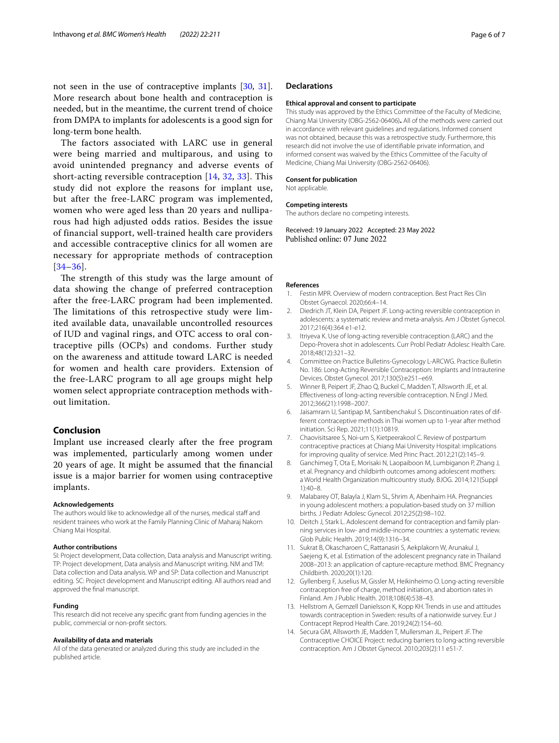not seen in the use of contraceptive implants [\[30,](#page-6-11) [31](#page-6-12)]. More research about bone health and contraception is needed, but in the meantime, the current trend of choice from DMPA to implants for adolescents is a good sign for long-term bone health.

The factors associated with LARC use in general were being married and multiparous, and using to avoid unintended pregnancy and adverse events of short-acting reversible contraception [[14](#page-5-11), [32,](#page-6-13) [33](#page-6-14)]. This study did not explore the reasons for implant use, but after the free-LARC program was implemented, women who were aged less than 20 years and nulliparous had high adjusted odds ratios. Besides the issue of financial support, well-trained health care providers and accessible contraceptive clinics for all women are necessary for appropriate methods of contraception [[34](#page-6-15)[–36\]](#page-6-16).

The strength of this study was the large amount of data showing the change of preferred contraception after the free-LARC program had been implemented. The limitations of this retrospective study were limited available data, unavailable uncontrolled resources of IUD and vaginal rings, and OTC access to oral contraceptive pills (OCPs) and condoms. Further study on the awareness and attitude toward LARC is needed for women and health care providers. Extension of the free-LARC program to all age groups might help women select appropriate contraception methods without limitation.

## **Conclusion**

Implant use increased clearly after the free program was implemented, particularly among women under 20 years of age. It might be assumed that the fnancial issue is a major barrier for women using contraceptive implants.

#### **Acknowledgements**

The authors would like to acknowledge all of the nurses, medical staff and resident trainees who work at the Family Planning Clinic of Maharaj Nakorn Chiang Mai Hospital.

#### **Author contributions**

SI: Project development, Data collection, Data analysis and Manuscript writing. TP: Project development, Data analysis and Manuscript writing. NM and TM: Data collection and Data analysis. WP and SP: Data collection and Manuscript editing. SC: Project development and Manuscript editing. All authors read and approved the fnal manuscript.

#### **Funding**

This research did not receive any specifc grant from funding agencies in the public, commercial or non-proft sectors.

#### **Availability of data and materials**

All of the data generated or analyzed during this study are included in the published article.

#### **Declarations**

#### **Ethical approval and consent to participate**

This study was approved by the Ethics Committee of the Faculty of Medicine, Chiang Mai University (OBG-2562-06406)**.** All of the methods were carried out in accordance with relevant guidelines and regulations. Informed consent was not obtained, because this was a retrospective study. Furthermore, this research did not involve the use of identifable private information, and informed consent was waived by the Ethics Committee of the Faculty of Medicine, Chiang Mai University (OBG-2562-06406).

#### **Consent for publication**

Not applicable.

#### **Competing interests**

The authors declare no competing interests.

Received: 19 January 2022 Accepted: 23 May 2022 Published online: 07 June 2022

#### **References**

- <span id="page-5-0"></span>1. Festin MPR. Overview of modern contraception. Best Pract Res Clin Obstet Gynaecol. 2020;66:4–14.
- <span id="page-5-1"></span>2. Diedrich JT, Klein DA, Peipert JF. Long-acting reversible contraception in adolescents: a systematic review and meta-analysis. Am J Obstet Gynecol. 2017;216(4):364 e1-e12.
- <span id="page-5-4"></span>3. Itriyeva K. Use of long-acting reversible contraception (LARC) and the Depo-Provera shot in adolescents. Curr Probl Pediatr Adolesc Health Care. 2018;48(12):321–32.
- <span id="page-5-2"></span>4. Committee on Practice Bulletins-Gynecology L-ARCWG. Practice Bulletin No. 186: Long-Acting Reversible Contraception: Implants and Intrauterine Devices. Obstet Gynecol. 2017;130(5):e251–e69.
- <span id="page-5-12"></span>5. Winner B, Peipert JF, Zhao Q, Buckel C, Madden T, Allsworth JE, et al. Efectiveness of long-acting reversible contraception. N Engl J Med. 2012;366(21):1998–2007.
- <span id="page-5-3"></span>6. Jaisamrarn U, Santipap M, Santibenchakul S. Discontinuation rates of different contraceptive methods in Thai women up to 1-year after method initiation. Sci Rep. 2021;11(1):10819.
- <span id="page-5-5"></span>7. Chaovisitsaree S, Noi-um S, Kietpeerakool C. Review of postpartum contraceptive practices at Chiang Mai University Hospital: implications for improving quality of service. Med Princ Pract. 2012;21(2):145–9.
- <span id="page-5-6"></span>8. Ganchimeg T, Ota E, Morisaki N, Laopaiboon M, Lumbiganon P, Zhang J, et al. Pregnancy and childbirth outcomes among adolescent mothers: a World Health Organization multicountry study. BJOG. 2014;121(Suppl 1):40–8.
- <span id="page-5-7"></span>9. Malabarey OT, Balayla J, Klam SL, Shrim A, Abenhaim HA. Pregnancies in young adolescent mothers: a population-based study on 37 million births. J Pediatr Adolesc Gynecol. 2012;25(2):98–102.
- <span id="page-5-8"></span>10. Deitch J, Stark L. Adolescent demand for contraception and family planning services in low- and middle-income countries: a systematic review. Glob Public Health. 2019;14(9):1316–34.
- <span id="page-5-9"></span>11. Sukrat B, Okascharoen C, Rattanasiri S, Aekplakorn W, Arunakul J, Saejeng K, et al. Estimation of the adolescent pregnancy rate in Thailand 2008–2013: an application of capture-recapture method. BMC Pregnancy Childbirth. 2020;20(1):120.
- <span id="page-5-10"></span>12. Gyllenberg F, Juselius M, Gissler M, Heikinheimo O. Long-acting reversible contraception free of charge, method initiation, and abortion rates in Finland. Am J Public Health. 2018;108(4):538–43.
- <span id="page-5-13"></span>13. Hellstrom A, Gemzell Danielsson K, Kopp KH. Trends in use and attitudes towards contraception in Sweden: results of a nationwide survey. Eur J Contracept Reprod Health Care. 2019;24(2):154–60.
- <span id="page-5-11"></span>14. Secura GM, Allsworth JE, Madden T, Mullersman JL, Peipert JF. The Contraceptive CHOICE Project: reducing barriers to long-acting reversible contraception. Am J Obstet Gynecol. 2010;203(2):11 e51-7.